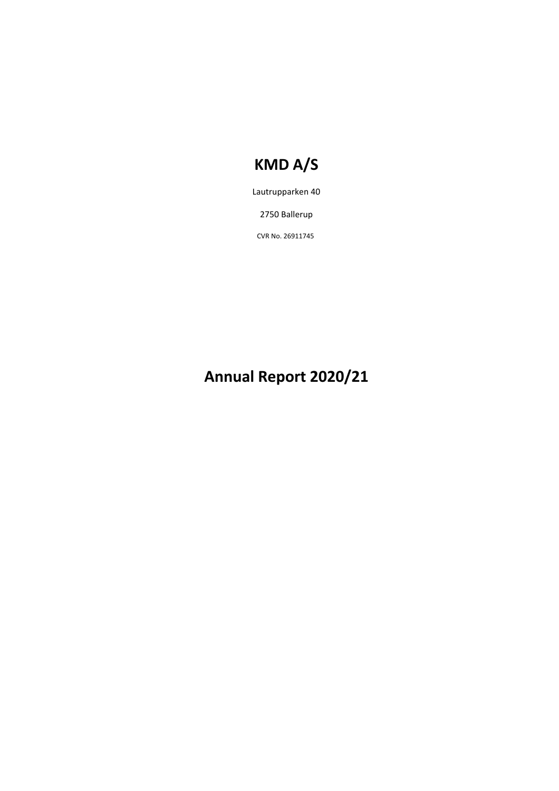Lautrupparken 40

2750 Ballerup

CVR No. 26911745

# **Annual Report 2020/21**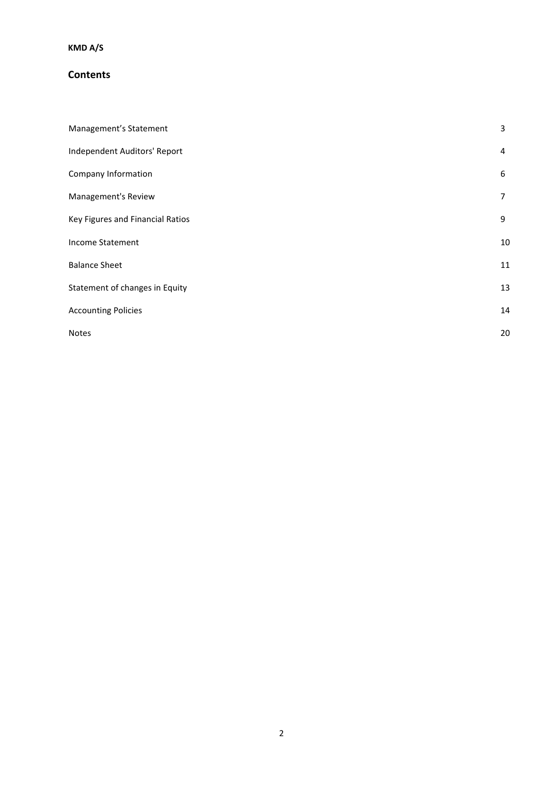### **Contents**

| Management's Statement           | 3              |
|----------------------------------|----------------|
| Independent Auditors' Report     | 4              |
| Company Information              | 6              |
| Management's Review              | $\overline{7}$ |
| Key Figures and Financial Ratios | 9              |
| Income Statement                 | 10             |
| <b>Balance Sheet</b>             | 11             |
| Statement of changes in Equity   | 13             |
| <b>Accounting Policies</b>       | 14             |
| Notes                            | 20             |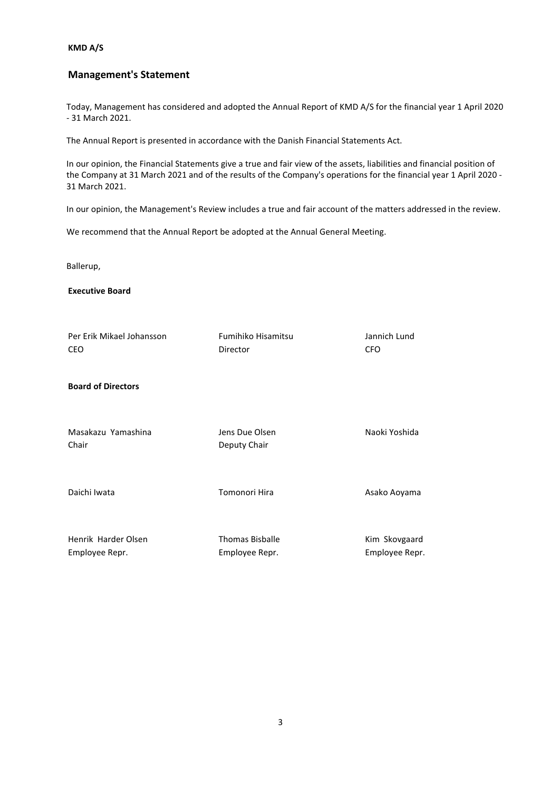### **Management's Statement**

Today, Management has considered and adopted the Annual Report of KMD A/S for the financial year 1 April 2020 - 31 March 2021.

The Annual Report is presented in accordance with the Danish Financial Statements Act.

In our opinion, the Financial Statements give a true and fair view of the assets, liabilities and financial position of the Company at 31 March 2021 and of the results of the Company's operations for the financial year 1 April 2020 - 31 March 2021.

In our opinion, the Management's Review includes a true and fair account of the matters addressed in the review.

We recommend that the Annual Report be adopted at the Annual General Meeting.

Ballerup,

**Executive Board**

| Per Erik Mikael Johansson<br>CEO      | Fumihiko Hisamitsu<br>Director           | Jannich Lund<br><b>CFO</b>      |
|---------------------------------------|------------------------------------------|---------------------------------|
| <b>Board of Directors</b>             |                                          |                                 |
| Masakazu Yamashina<br>Chair           | Jens Due Olsen<br>Deputy Chair           | Naoki Yoshida                   |
| Daichi Iwata                          | Tomonori Hira                            | Asako Aoyama                    |
| Henrik Harder Olsen<br>Employee Repr. | <b>Thomas Bisballe</b><br>Employee Repr. | Kim Skovgaard<br>Employee Repr. |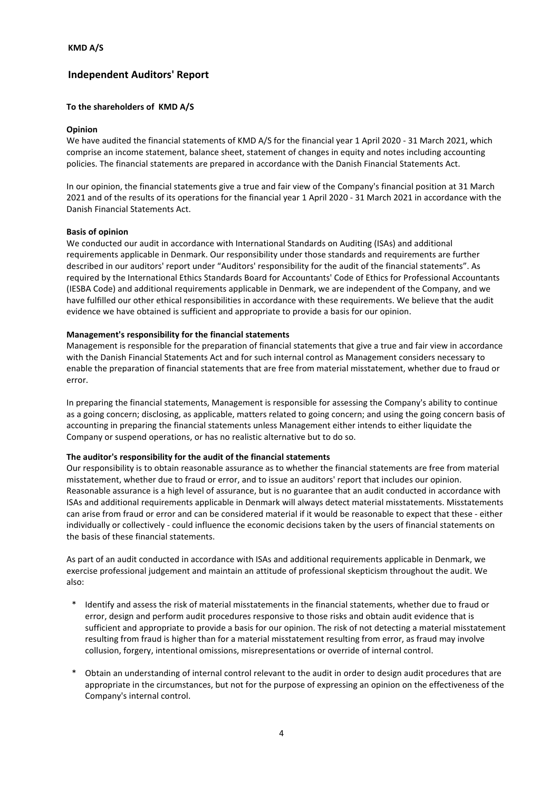### **Independent Auditors' Report**

#### **To the shareholders of KMD A/S**

#### **Opinion**

We have audited the financial statements of KMD A/S for the financial year 1 April 2020 - 31 March 2021, which comprise an income statement, balance sheet, statement of changes in equity and notes including accounting policies. The financial statements are prepared in accordance with the Danish Financial Statements Act.

In our opinion, the financial statements give a true and fair view of the Company's financial position at 31 March 2021 and of the results of its operations for the financial year 1 April 2020 - 31 March 2021 in accordance with the Danish Financial Statements Act.

#### **Basis of opinion**

We conducted our audit in accordance with International Standards on Auditing (ISAs) and additional requirements applicable in Denmark. Our responsibility under those standards and requirements are further described in our auditors' report under "Auditors' responsibility for the audit of the financial statements". As required by the International Ethics Standards Board for Accountants' Code of Ethics for Professional Accountants (IESBA Code) and additional requirements applicable in Denmark, we are independent of the Company, and we have fulfilled our other ethical responsibilities in accordance with these requirements. We believe that the audit evidence we have obtained is sufficient and appropriate to provide a basis for our opinion.

#### **Management's responsibility for the financial statements**

Management is responsible for the preparation of financial statements that give a true and fair view in accordance with the Danish Financial Statements Act and for such internal control as Management considers necessary to enable the preparation of financial statements that are free from material misstatement, whether due to fraud or error.

In preparing the financial statements, Management is responsible for assessing the Company's ability to continue as a going concern; disclosing, as applicable, matters related to going concern; and using the going concern basis of accounting in preparing the financial statements unless Management either intends to either liquidate the Company or suspend operations, or has no realistic alternative but to do so.

#### **The auditor's responsibility for the audit of the financial statements**

Our responsibility is to obtain reasonable assurance as to whether the financial statements are free from material misstatement, whether due to fraud or error, and to issue an auditors' report that includes our opinion. Reasonable assurance is a high level of assurance, but is no guarantee that an audit conducted in accordance with ISAs and additional requirements applicable in Denmark will always detect material misstatements. Misstatements can arise from fraud or error and can be considered material if it would be reasonable to expect that these - either individually or collectively - could influence the economic decisions taken by the users of financial statements on the basis of these financial statements.

As part of an audit conducted in accordance with ISAs and additional requirements applicable in Denmark, we exercise professional judgement and maintain an attitude of professional skepticism throughout the audit. We also:

- \* Identify and assess the risk of material misstatements in the financial statements, whether due to fraud or error, design and perform audit procedures responsive to those risks and obtain audit evidence that is sufficient and appropriate to provide a basis for our opinion. The risk of not detecting a material misstatement resulting from fraud is higher than for a material misstatement resulting from error, as fraud may involve collusion, forgery, intentional omissions, misrepresentations or override of internal control.
- Obtain an understanding of internal control relevant to the audit in order to design audit procedures that are appropriate in the circumstances, but not for the purpose of expressing an opinion on the effectiveness of the Company's internal control.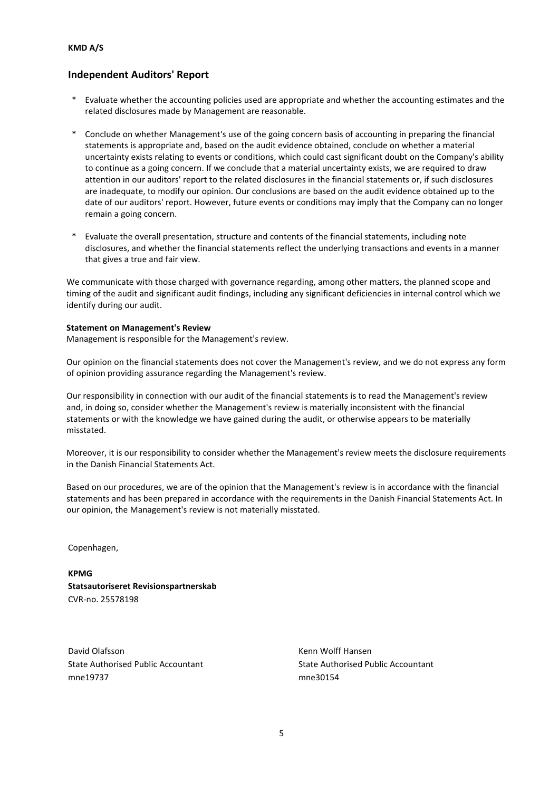### **Independent Auditors' Report**

- \* Evaluate whether the accounting policies used are appropriate and whether the accounting estimates and the related disclosures made by Management are reasonable.
- \* Conclude on whether Management's use of the going concern basis of accounting in preparing the financial statements is appropriate and, based on the audit evidence obtained, conclude on whether a material uncertainty exists relating to events or conditions, which could cast significant doubt on the Company's ability to continue as a going concern. If we conclude that a material uncertainty exists, we are required to draw attention in our auditors' report to the related disclosures in the financial statements or, if such disclosures are inadequate, to modify our opinion. Our conclusions are based on the audit evidence obtained up to the date of our auditors' report. However, future events or conditions may imply that the Company can no longer remain a going concern.
- Evaluate the overall presentation, structure and contents of the financial statements, including note disclosures, and whether the financial statements reflect the underlying transactions and events in a manner that gives a true and fair view.

We communicate with those charged with governance regarding, among other matters, the planned scope and timing of the audit and significant audit findings, including any significant deficiencies in internal control which we identify during our audit.

#### **Statement on Management's Review**

Management is responsible for the Management's review.

Our opinion on the financial statements does not cover the Management's review, and we do not express any form of opinion providing assurance regarding the Management's review.

Our responsibility in connection with our audit of the financial statements is to read the Management's review and, in doing so, consider whether the Management's review is materially inconsistent with the financial statements or with the knowledge we have gained during the audit, or otherwise appears to be materially misstated.

Moreover, it is our responsibility to consider whether the Management's review meets the disclosure requirements in the Danish Financial Statements Act.

Based on our procedures, we are of the opinion that the Management's review is in accordance with the financial statements and has been prepared in accordance with the requirements in the Danish Financial Statements Act. In our opinion, the Management's review is not materially misstated.

Copenhagen,

**KPMG Statsautoriseret Revisionspartnerskab** CVR-no. 25578198

David Olafsson Kenn Wolff Hansen mne19737 mne30154

State Authorised Public Accountant State Authorised Public Accountant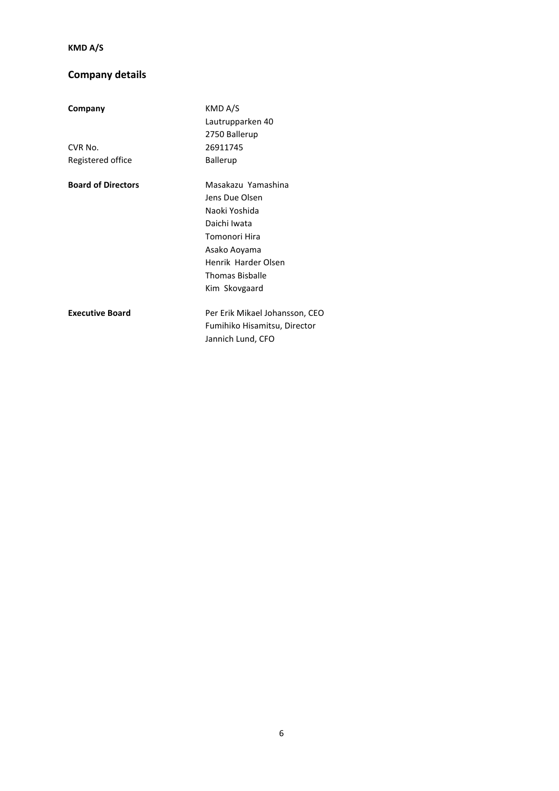# **Company details**

| Company                   | KMD A/S                        |
|---------------------------|--------------------------------|
|                           | Lautrupparken 40               |
|                           | 2750 Ballerup                  |
| CVR No.                   | 26911745                       |
| Registered office         | Ballerup                       |
| <b>Board of Directors</b> | Masakazu Yamashina             |
|                           | Jens Due Olsen                 |
|                           | Naoki Yoshida                  |
|                           | Daichi Iwata                   |
|                           | Tomonori Hira                  |
|                           | Asako Aoyama                   |
|                           | Henrik Harder Olsen            |
|                           | <b>Thomas Bisballe</b>         |
|                           | Kim Skovgaard                  |
| <b>Executive Board</b>    | Per Erik Mikael Johansson, CEO |
|                           | Fumihiko Hisamitsu, Director   |
|                           | Jannich Lund, CFO              |
|                           |                                |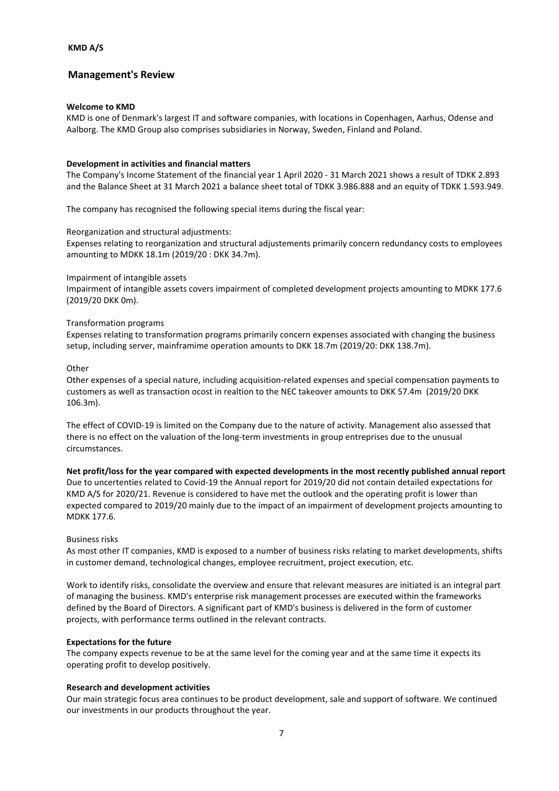### **Management's Review**

#### **Welcome to KMD**

KMD is one of Denmark's largest IT and software companies, with locations in Copenhagen, Aarhus, Odense and Aalborg. The KMD Group also comprises subsidiaries in Norway, Sweden, Finland and Poland.

#### **Development in activities and financial matters**

The Company's Income Statement of the financial year 1 April 2020 - 31 March 2021 shows a result of TDKK 2.893 and the Balance Sheet at 31 March 2021 a balance sheet total of TDKK 3.986.888 and an equity of TDKK 1.593.949.

The company has recognised the following special items during the fiscal year:

Reorganization and structural adjustments:

Expenses relating to reorganization and structural adjustements primarily concern redundancy costs to employees amounting to MDKK 18.1m (2019/20 : DKK 34.7m).

#### Impairment of intangible assets

Impairment of intangible assets covers impairment of completed development projects amounting to MDKK 177.6 (2019/20 DKK 0m).

#### Transformation programs

Expenses relating to transformation programs primarily concern expenses associated with changing the business setup, including server, mainframime operation amounts to DKK 18.7m (2019/20: DKK 138.7m).

#### **Other**

Other expenses of a special nature, including acquisition-related expenses and special compensation payments to customers as well as transaction ocost in realtion to the NEC takeover amounts to DKK 57.4m (2019/20 DKK 106.3m).

The effect of COVID-19 is limited on the Company due to the nature of activity. Management also assessed that there is no effect on the valuation of the long-term investments in group entreprises due to the unusual circumstances.

**Net profit/loss for the year compared with expected developments in the most recently published annual report** Due to uncertenties related to Covid-19 the Annual report for 2019/20 did not contain detailed expectations for KMD A/S for 2020/21. Revenue is considered to have met the outlook and the operating profit is lower than expected compared to 2019/20 mainly due to the impact of an impairment of development projects amounting to MDKK 177.6.

#### Business risks

As most other IT companies, KMD is exposed to a number of business risks relating to market developments, shifts in customer demand, technological changes, employee recruitment, project execution, etc.

Work to identify risks, consolidate the overview and ensure that relevant measures are initiated is an integral part of managing the business. KMD's enterprise risk management processes are executed within the frameworks defined by the Board of Directors. A significant part of KMD's business is delivered in the form of customer projects, with performance terms outlined in the relevant contracts.

#### **Expectations for the future**

The company expects revenue to be at the same level for the coming year and at the same time it expects its operating profit to develop positively.

#### **Research and development activities**

Our main strategic focus area continues to be product development, sale and support of software. We continued our investments in our products throughout the year.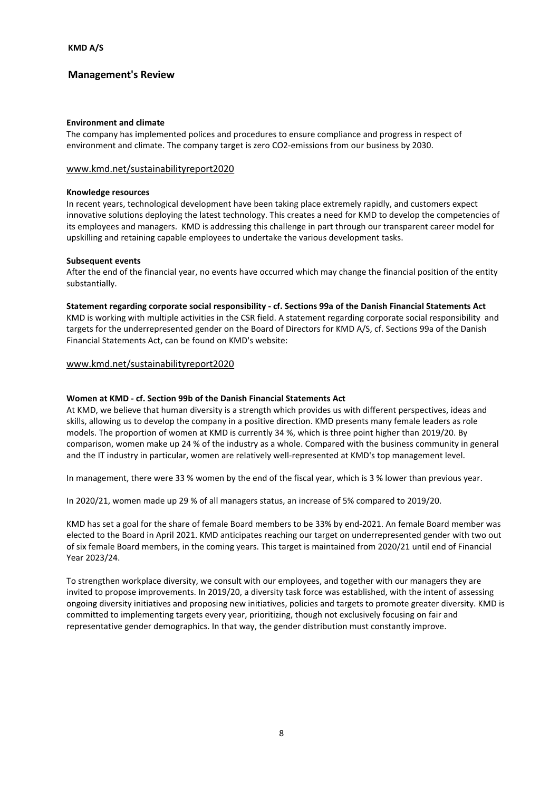### **Management's Review**

#### **Environment and climate**

The company has implemented polices and procedures to ensure compliance and progress in respect of environment and climate. The company target is zero CO2-emissions from our business by 2030.

#### www.kmd.net/sustainabilityreport2020

#### **Knowledge resources**

In recent years, technological development have been taking place extremely rapidly, and customers expect innovative solutions deploying the latest technology. This creates a need for KMD to develop the competencies of its employees and managers. KMD is addressing this challenge in part through our transparent career model for upskilling and retaining capable employees to undertake the various development tasks.

#### **Subsequent events**

After the end of the financial year, no events have occurred which may change the financial position of the entity substantially.

**Statement regarding corporate social responsibility - cf. Sections 99a of the Danish Financial Statements Act** KMD is working with multiple activities in the CSR field. A statement regarding corporate social responsibility and targets for the underrepresented gender on the Board of Directors for KMD A/S, cf. Sections 99a of the Danish Financial Statements Act, can be found on KMD's website:

#### www.kmd.net/sustainabilityreport2020

#### **Women at KMD - cf. Section 99b of the Danish Financial Statements Act**

At KMD, we believe that human diversity is a strength which provides us with different perspectives, ideas and skills, allowing us to develop the company in a positive direction. KMD presents many female leaders as role models. The proportion of women at KMD is currently 34 %, which is three point higher than 2019/20. By comparison, women make up 24 % of the industry as a whole. Compared with the business community in general and the IT industry in particular, women are relatively well-represented at KMD's top management level.

In management, there were 33 % women by the end of the fiscal year, which is 3 % lower than previous year.

In 2020/21, women made up 29 % of all managers status, an increase of 5% compared to 2019/20.

KMD has set a goal for the share of female Board members to be 33% by end-2021. An female Board member was elected to the Board in April 2021. KMD anticipates reaching our target on underrepresented gender with two out of six female Board members, in the coming years. This target is maintained from 2020/21 until end of Financial Year 2023/24.

To strengthen workplace diversity, we consult with our employees, and together with our managers they are invited to propose improvements. In 2019/20, a diversity task force was established, with the intent of assessing ongoing diversity initiatives and proposing new initiatives, policies and targets to promote greater diversity. KMD is committed to implementing targets every year, prioritizing, though not exclusively focusing on fair and representative gender demographics. In that way, the gender distribution must constantly improve.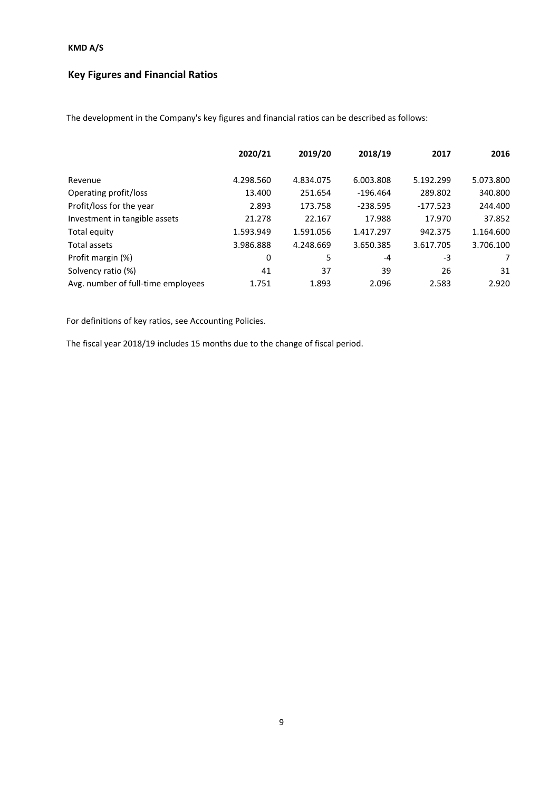# **Key Figures and Financial Ratios**

The development in the Company's key figures and financial ratios can be described as follows:

|                                    | 2020/21   | 2019/20   | 2018/19    | 2017       | 2016      |
|------------------------------------|-----------|-----------|------------|------------|-----------|
| Revenue                            | 4.298.560 | 4.834.075 | 6.003.808  | 5.192.299  | 5.073.800 |
|                                    |           |           |            |            |           |
| Operating profit/loss              | 13.400    | 251.654   | $-196.464$ | 289.802    | 340.800   |
| Profit/loss for the year           | 2.893     | 173.758   | $-238.595$ | $-177.523$ | 244.400   |
| Investment in tangible assets      | 21.278    | 22.167    | 17.988     | 17.970     | 37.852    |
| Total equity                       | 1.593.949 | 1.591.056 | 1.417.297  | 942.375    | 1.164.600 |
| Total assets                       | 3.986.888 | 4.248.669 | 3.650.385  | 3.617.705  | 3.706.100 |
| Profit margin (%)                  | 0         | 5         | -4         | -3         | 7         |
| Solvency ratio (%)                 | 41        | 37        | 39         | 26         | 31        |
| Avg. number of full-time employees | 1.751     | 1.893     | 2.096      | 2.583      | 2.920     |

For definitions of key ratios, see Accounting Policies.

The fiscal year 2018/19 includes 15 months due to the change of fiscal period.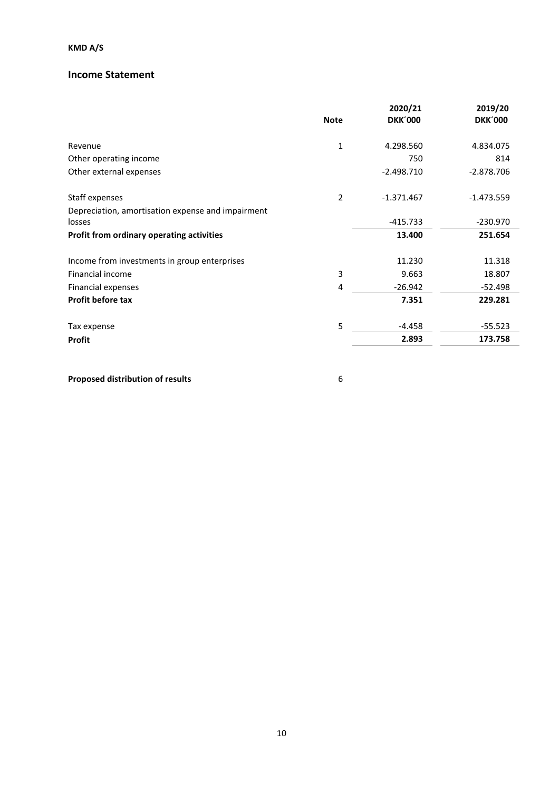### **Income Statement**

|                                                   | <b>Note</b>    | 2020/21<br><b>DKK'000</b> | 2019/20<br><b>DKK'000</b> |
|---------------------------------------------------|----------------|---------------------------|---------------------------|
| Revenue                                           | $\mathbf{1}$   | 4.298.560                 | 4.834.075                 |
| Other operating income                            |                | 750                       | 814                       |
| Other external expenses                           |                | $-2.498.710$              | $-2.878.706$              |
| Staff expenses                                    | $\overline{2}$ | $-1.371.467$              | $-1.473.559$              |
| Depreciation, amortisation expense and impairment |                |                           |                           |
| losses                                            |                | $-415.733$                | $-230.970$                |
| Profit from ordinary operating activities         |                | 13.400                    | 251.654                   |
| Income from investments in group enterprises      |                | 11.230                    | 11.318                    |
| Financial income                                  | 3              | 9.663                     | 18.807                    |
| Financial expenses                                | 4              | $-26.942$                 | $-52.498$                 |
| <b>Profit before tax</b>                          |                | 7.351                     | 229.281                   |
| Tax expense                                       | 5              | $-4.458$                  | $-55.523$                 |
| <b>Profit</b>                                     |                | 2.893                     | 173.758                   |

**Proposed distribution of results** 6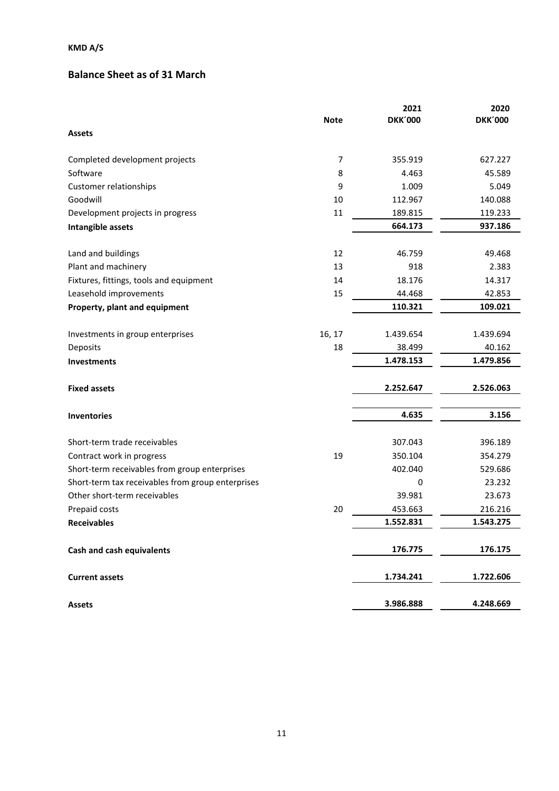# **Balance Sheet as of 31 March**

|                                                   |                | 2021                | 2020                |
|---------------------------------------------------|----------------|---------------------|---------------------|
|                                                   | <b>Note</b>    | <b>DKK'000</b>      | <b>DKK'000</b>      |
| <b>Assets</b>                                     |                |                     |                     |
| Completed development projects                    | $\overline{7}$ | 355.919             | 627.227             |
| Software                                          | 8              | 4.463               | 45.589              |
| Customer relationships                            | 9              | 1.009               | 5.049               |
| Goodwill                                          | 10             | 112.967             | 140.088             |
| Development projects in progress                  | 11             | 189.815             | 119.233             |
| Intangible assets                                 |                | 664.173             | 937.186             |
| Land and buildings                                | 12             | 46.759              | 49.468              |
| Plant and machinery                               | 13             | 918                 | 2.383               |
| Fixtures, fittings, tools and equipment           | 14             | 18.176              | 14.317              |
| Leasehold improvements                            | 15             | 44.468              | 42.853              |
| Property, plant and equipment                     |                | 110.321             | 109.021             |
|                                                   |                |                     |                     |
| Investments in group enterprises                  | 16, 17         | 1.439.654           | 1.439.694<br>40.162 |
| Deposits                                          | 18             | 38.499<br>1.478.153 | 1.479.856           |
| <b>Investments</b>                                |                |                     |                     |
| <b>Fixed assets</b>                               |                | 2.252.647           | 2.526.063           |
| <b>Inventories</b>                                |                | 4.635               | 3.156               |
|                                                   |                |                     |                     |
| Short-term trade receivables                      |                | 307.043             | 396.189             |
| Contract work in progress                         | 19             | 350.104             | 354.279             |
| Short-term receivables from group enterprises     |                | 402.040             | 529.686<br>23.232   |
| Short-term tax receivables from group enterprises |                | 0<br>39.981         |                     |
| Other short-term receivables                      |                |                     | 23.673              |
| Prepaid costs                                     | 20             | 453.663             | 216.216             |
| <b>Receivables</b>                                |                | 1.552.831           | 1.543.275           |
| <b>Cash and cash equivalents</b>                  |                | 176.775             | 176.175             |
| <b>Current assets</b>                             |                | 1.734.241           | 1.722.606           |
| <b>Assets</b>                                     |                | 3.986.888           | 4.248.669           |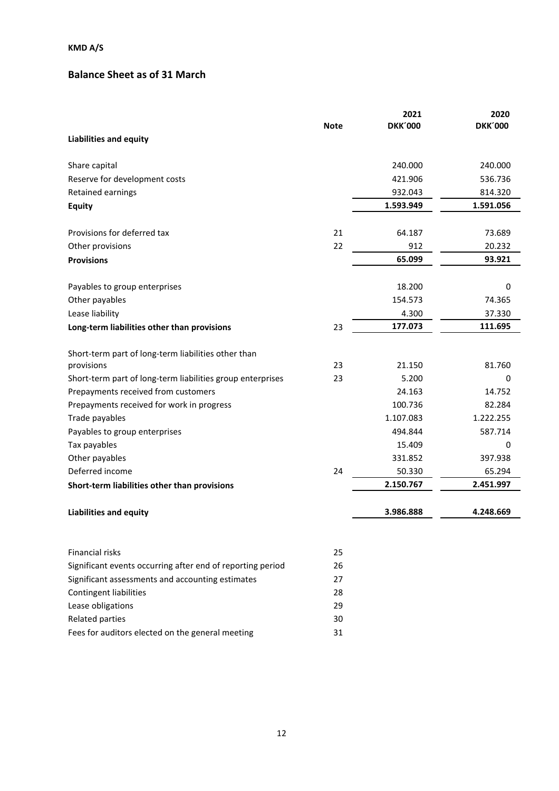# **Balance Sheet as of 31 March**

|                                                            | <b>Note</b> | 2021<br><b>DKK'000</b> | 2020<br><b>DKK'000</b> |
|------------------------------------------------------------|-------------|------------------------|------------------------|
| <b>Liabilities and equity</b>                              |             |                        |                        |
| Share capital                                              |             | 240.000                | 240.000                |
| Reserve for development costs                              |             | 421.906                | 536.736                |
| Retained earnings                                          |             | 932.043                | 814.320                |
| <b>Equity</b>                                              |             | 1.593.949              | 1.591.056              |
| Provisions for deferred tax                                | 21          | 64.187                 | 73.689                 |
| Other provisions                                           | 22          | 912                    | 20.232                 |
| <b>Provisions</b>                                          |             | 65.099                 | 93.921                 |
| Payables to group enterprises                              |             | 18.200                 | 0                      |
| Other payables                                             |             | 154.573                | 74.365                 |
| Lease liability                                            |             | 4.300                  | 37.330                 |
| Long-term liabilities other than provisions                | 23          | 177.073                | 111.695                |
| Short-term part of long-term liabilities other than        |             |                        |                        |
| provisions                                                 | 23          | 21.150                 | 81.760                 |
| Short-term part of long-term liabilities group enterprises | 23          | 5.200                  | 0                      |
| Prepayments received from customers                        |             | 24.163                 | 14.752                 |
| Prepayments received for work in progress                  |             | 100.736                | 82.284                 |
| Trade payables                                             |             | 1.107.083              | 1.222.255              |
| Payables to group enterprises                              |             | 494.844                | 587.714                |
| Tax payables                                               |             | 15.409                 | 0                      |
| Other payables                                             |             | 331.852                | 397.938                |
| Deferred income                                            | 24          | 50.330                 | 65.294                 |
| Short-term liabilities other than provisions               |             | 2.150.767              | 2.451.997              |
| <b>Liabilities and equity</b>                              |             | 3.986.888              | 4.248.669              |
| Financial risks                                            | 25          |                        |                        |
| Significant events occurring after end of reporting period | 26          |                        |                        |
| Significant assessments and accounting estimates           | 27          |                        |                        |
| Contingent liabilities                                     | 28          |                        |                        |
| Lease obligations                                          | 29          |                        |                        |
| <b>Related parties</b>                                     | 30          |                        |                        |

Fees for auditors elected on the general meeting 31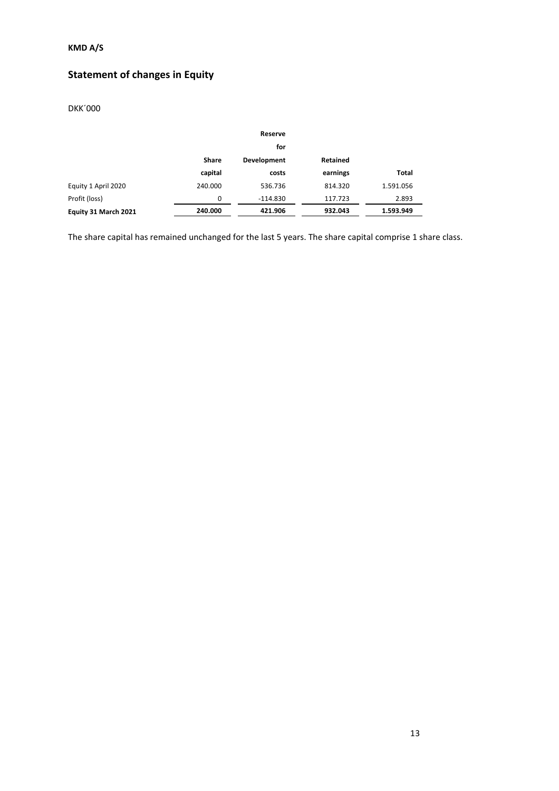# **Statement of changes in Equity**

### DKK´000

|                      |          | Reserve     |          |           |
|----------------------|----------|-------------|----------|-----------|
|                      |          | for         |          |           |
|                      | Share    | Development | Retained |           |
|                      | capital  | costs       | earnings | Total     |
| Equity 1 April 2020  | 240.000  | 536.736     | 814.320  | 1.591.056 |
| Profit (loss)        | $\Omega$ | $-114.830$  | 117.723  | 2.893     |
| Equity 31 March 2021 | 240.000  | 421.906     | 932.043  | 1.593.949 |

The share capital has remained unchanged for the last 5 years. The share capital comprise 1 share class.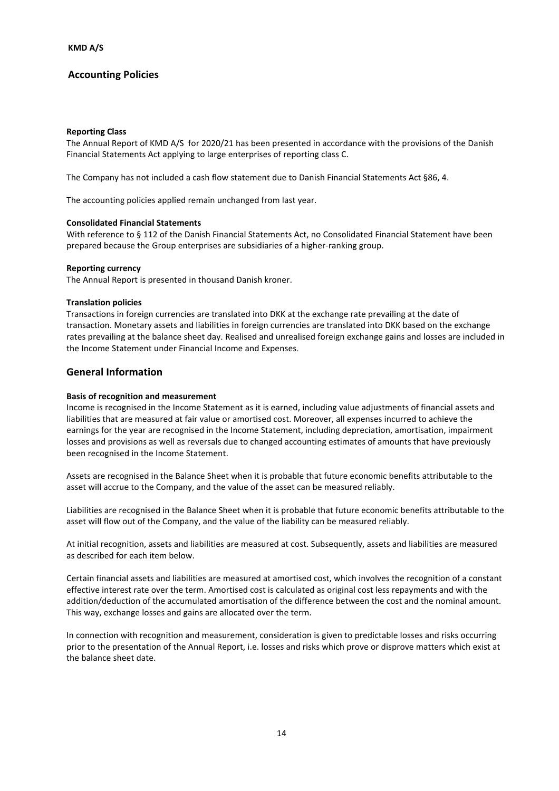#### **Reporting Class**

The Annual Report of KMD A/S for 2020/21 has been presented in accordance with the provisions of the Danish Financial Statements Act applying to large enterprises of reporting class C.

The Company has not included a cash flow statement due to Danish Financial Statements Act §86, 4.

The accounting policies applied remain unchanged from last year.

#### **Consolidated Financial Statements**

With reference to § 112 of the Danish Financial Statements Act, no Consolidated Financial Statement have been prepared because the Group enterprises are subsidiaries of a higher-ranking group.

#### **Reporting currency**

The Annual Report is presented in thousand Danish kroner.

#### **Translation policies**

Transactions in foreign currencies are translated into DKK at the exchange rate prevailing at the date of transaction. Monetary assets and liabilities in foreign currencies are translated into DKK based on the exchange rates prevailing at the balance sheet day. Realised and unrealised foreign exchange gains and losses are included in the Income Statement under Financial Income and Expenses.

#### **General Information**

#### **Basis of recognition and measurement**

Income is recognised in the Income Statement as it is earned, including value adjustments of financial assets and liabilities that are measured at fair value or amortised cost. Moreover, all expenses incurred to achieve the earnings for the year are recognised in the Income Statement, including depreciation, amortisation, impairment losses and provisions as well as reversals due to changed accounting estimates of amounts that have previously been recognised in the Income Statement.

Assets are recognised in the Balance Sheet when it is probable that future economic benefits attributable to the asset will accrue to the Company, and the value of the asset can be measured reliably.

Liabilities are recognised in the Balance Sheet when it is probable that future economic benefits attributable to the asset will flow out of the Company, and the value of the liability can be measured reliably.

At initial recognition, assets and liabilities are measured at cost. Subsequently, assets and liabilities are measured as described for each item below.

Certain financial assets and liabilities are measured at amortised cost, which involves the recognition of a constant effective interest rate over the term. Amortised cost is calculated as original cost less repayments and with the addition/deduction of the accumulated amortisation of the difference between the cost and the nominal amount. This way, exchange losses and gains are allocated over the term.

In connection with recognition and measurement, consideration is given to predictable losses and risks occurring prior to the presentation of the Annual Report, i.e. losses and risks which prove or disprove matters which exist at the balance sheet date.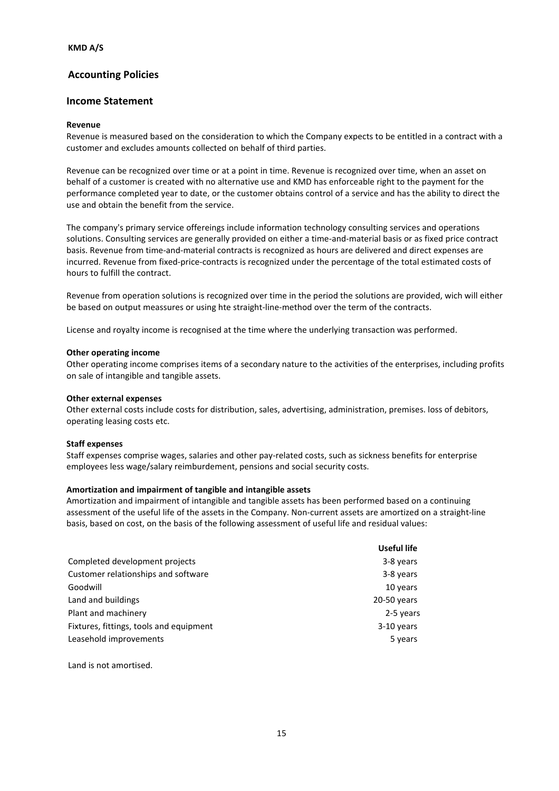#### **Income Statement**

#### **Revenue**

Revenue is measured based on the consideration to which the Company expects to be entitled in a contract with a customer and excludes amounts collected on behalf of third parties.

Revenue can be recognized over time or at a point in time. Revenue is recognized over time, when an asset on behalf of a customer is created with no alternative use and KMD has enforceable right to the payment for the performance completed year to date, or the customer obtains control of a service and has the ability to direct the use and obtain the benefit from the service.

The company's primary service offereings include information technology consulting services and operations solutions. Consulting services are generally provided on either a time-and-material basis or as fixed price contract basis. Revenue from time-and-material contracts is recognized as hours are delivered and direct expenses are incurred. Revenue from fixed-price-contracts is recognized under the percentage of the total estimated costs of hours to fulfill the contract.

Revenue from operation solutions is recognized over time in the period the solutions are provided, wich will either be based on output meassures or using hte straight-line-method over the term of the contracts.

License and royalty income is recognised at the time where the underlying transaction was performed.

#### **Other operating income**

Other operating income comprises items of a secondary nature to the activities of the enterprises, including profits on sale of intangible and tangible assets.

#### **Other external expenses**

Other external costs include costs for distribution, sales, advertising, administration, premises. loss of debitors, operating leasing costs etc.

#### **Staff expenses**

Staff expenses comprise wages, salaries and other pay-related costs, such as sickness benefits for enterprise employees less wage/salary reimburdement, pensions and social security costs.

#### **Amortization and impairment of tangible and intangible assets**

Amortization and impairment of intangible and tangible assets has been performed based on a continuing assessment of the useful life of the assets in the Company. Non-current assets are amortized on a straight-line basis, based on cost, on the basis of the following assessment of useful life and residual values:

| Useful life |
|-------------|
| 3-8 years   |
| 3-8 years   |
| 10 years    |
| 20-50 years |
| 2-5 years   |
| 3-10 years  |
| 5 years     |
|             |

Land is not amortised.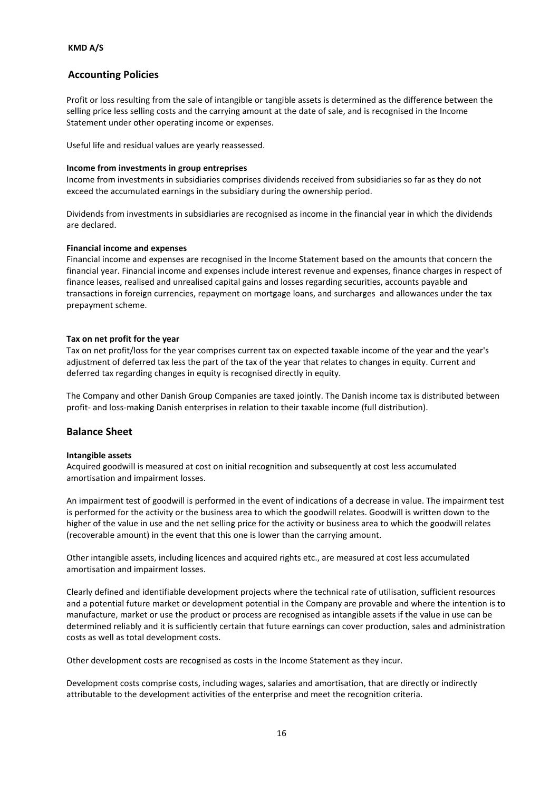Profit or loss resulting from the sale of intangible or tangible assets is determined as the difference between the selling price less selling costs and the carrying amount at the date of sale, and is recognised in the Income Statement under other operating income or expenses.

Useful life and residual values are yearly reassessed.

#### **Income from investments in group entreprises**

Income from investments in subsidiaries comprises dividends received from subsidiaries so far as they do not exceed the accumulated earnings in the subsidiary during the ownership period.

Dividends from investments in subsidiaries are recognised as income in the financial year in which the dividends are declared.

#### **Financial income and expenses**

Financial income and expenses are recognised in the Income Statement based on the amounts that concern the financial year. Financial income and expenses include interest revenue and expenses, finance charges in respect of finance leases, realised and unrealised capital gains and losses regarding securities, accounts payable and transactions in foreign currencies, repayment on mortgage loans, and surcharges and allowances under the tax prepayment scheme.

#### **Tax on net profit for the year**

Tax on net profit/loss for the year comprises current tax on expected taxable income of the year and the year's adjustment of deferred tax less the part of the tax of the year that relates to changes in equity. Current and deferred tax regarding changes in equity is recognised directly in equity.

The Company and other Danish Group Companies are taxed jointly. The Danish income tax is distributed between profit- and loss-making Danish enterprises in relation to their taxable income (full distribution).

#### **Balance Sheet**

#### **Intangible assets**

Acquired goodwill is measured at cost on initial recognition and subsequently at cost less accumulated amortisation and impairment losses.

An impairment test of goodwill is performed in the event of indications of a decrease in value. The impairment test is performed for the activity or the business area to which the goodwill relates. Goodwill is written down to the higher of the value in use and the net selling price for the activity or business area to which the goodwill relates (recoverable amount) in the event that this one is lower than the carrying amount.

Other intangible assets, including licences and acquired rights etc., are measured at cost less accumulated amortisation and impairment losses.

Clearly defined and identifiable development projects where the technical rate of utilisation, sufficient resources and a potential future market or development potential in the Company are provable and where the intention is to manufacture, market or use the product or process are recognised as intangible assets if the value in use can be determined reliably and it is sufficiently certain that future earnings can cover production, sales and administration costs as well as total development costs.

Other development costs are recognised as costs in the Income Statement as they incur.

Development costs comprise costs, including wages, salaries and amortisation, that are directly or indirectly attributable to the development activities of the enterprise and meet the recognition criteria.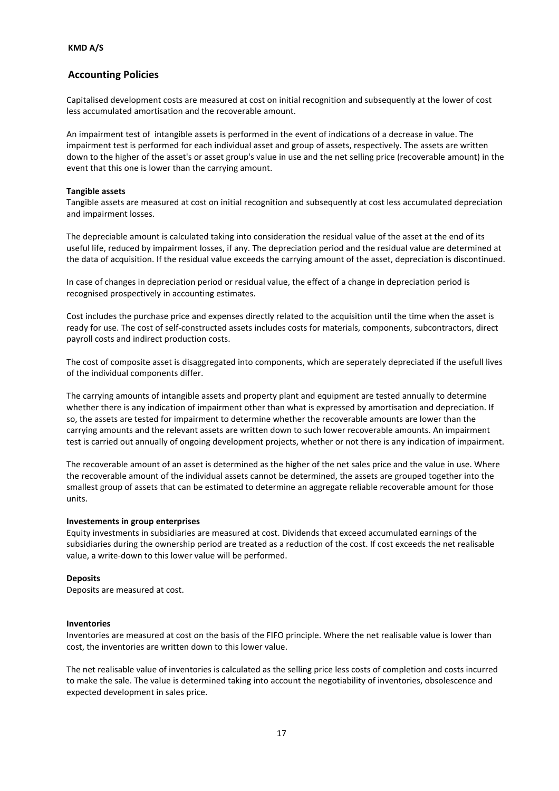Capitalised development costs are measured at cost on initial recognition and subsequently at the lower of cost less accumulated amortisation and the recoverable amount.

An impairment test of intangible assets is performed in the event of indications of a decrease in value. The impairment test is performed for each individual asset and group of assets, respectively. The assets are written down to the higher of the asset's or asset group's value in use and the net selling price (recoverable amount) in the event that this one is lower than the carrying amount.

#### **Tangible assets**

Tangible assets are measured at cost on initial recognition and subsequently at cost less accumulated depreciation and impairment losses.

The depreciable amount is calculated taking into consideration the residual value of the asset at the end of its useful life, reduced by impairment losses, if any. The depreciation period and the residual value are determined at the data of acquisition. If the residual value exceeds the carrying amount of the asset, depreciation is discontinued.

In case of changes in depreciation period or residual value, the effect of a change in depreciation period is recognised prospectively in accounting estimates.

Cost includes the purchase price and expenses directly related to the acquisition until the time when the asset is ready for use. The cost of self-constructed assets includes costs for materials, components, subcontractors, direct payroll costs and indirect production costs.

The cost of composite asset is disaggregated into components, which are seperately depreciated if the usefull lives of the individual components differ.

The carrying amounts of intangible assets and property plant and equipment are tested annually to determine whether there is any indication of impairment other than what is expressed by amortisation and depreciation. If so, the assets are tested for impairment to determine whether the recoverable amounts are lower than the carrying amounts and the relevant assets are written down to such lower recoverable amounts. An impairment test is carried out annually of ongoing development projects, whether or not there is any indication of impairment.

The recoverable amount of an asset is determined as the higher of the net sales price and the value in use. Where the recoverable amount of the individual assets cannot be determined, the assets are grouped together into the smallest group of assets that can be estimated to determine an aggregate reliable recoverable amount for those units.

#### **Investements in group enterprises**

Equity investments in subsidiaries are measured at cost. Dividends that exceed accumulated earnings of the subsidiaries during the ownership period are treated as a reduction of the cost. If cost exceeds the net realisable value, a write-down to this lower value will be performed.

#### **Deposits**

Deposits are measured at cost.

#### **Inventories**

Inventories are measured at cost on the basis of the FIFO principle. Where the net realisable value is lower than cost, the inventories are written down to this lower value.

The net realisable value of inventories is calculated as the selling price less costs of completion and costs incurred to make the sale. The value is determined taking into account the negotiability of inventories, obsolescence and expected development in sales price.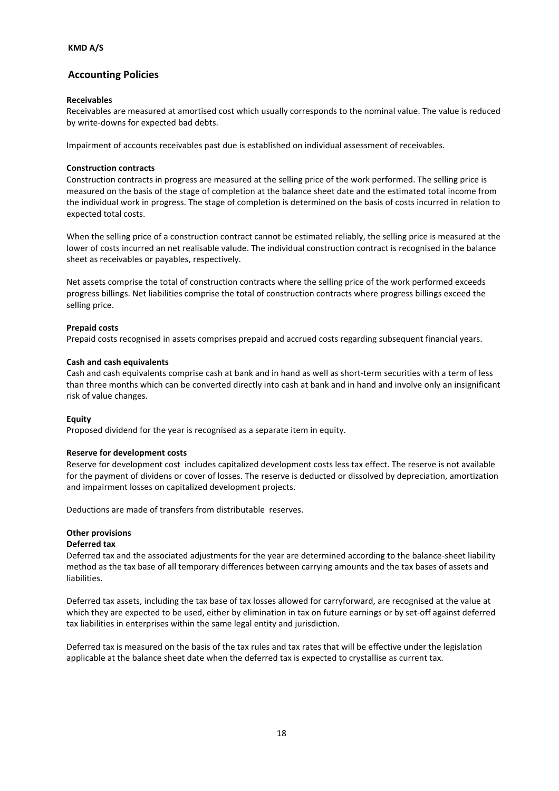#### **Receivables**

Receivables are measured at amortised cost which usually corresponds to the nominal value. The value is reduced by write-downs for expected bad debts.

Impairment of accounts receivables past due is established on individual assessment of receivables.

#### **Construction contracts**

Construction contracts in progress are measured at the selling price of the work performed. The selling price is measured on the basis of the stage of completion at the balance sheet date and the estimated total income from the individual work in progress. The stage of completion is determined on the basis of costs incurred in relation to expected total costs.

When the selling price of a construction contract cannot be estimated reliably, the selling price is measured at the lower of costs incurred an net realisable valude. The individual construction contract is recognised in the balance sheet as receivables or payables, respectively.

Net assets comprise the total of construction contracts where the selling price of the work performed exceeds progress billings. Net liabilities comprise the total of construction contracts where progress billings exceed the selling price.

#### **Prepaid costs**

Prepaid costs recognised in assets comprises prepaid and accrued costs regarding subsequent financial years.

#### **Cash and cash equivalents**

Cash and cash equivalents comprise cash at bank and in hand as well as short-term securities with a term of less than three months which can be converted directly into cash at bank and in hand and involve only an insignificant risk of value changes.

#### **Equity**

Proposed dividend for the year is recognised as a separate item in equity.

#### **Reserve for development costs**

Reserve for development cost includes capitalized development costs less tax effect. The reserve is not available for the payment of dividens or cover of losses. The reserve is deducted or dissolved by depreciation, amortization and impairment losses on capitalized development projects.

Deductions are made of transfers from distributable reserves.

#### **Other provisions**

#### **Deferred tax**

Deferred tax and the associated adjustments for the year are determined according to the balance-sheet liability method as the tax base of all temporary differences between carrying amounts and the tax bases of assets and liabilities.

Deferred tax assets, including the tax base of tax losses allowed for carryforward, are recognised at the value at which they are expected to be used, either by elimination in tax on future earnings or by set-off against deferred tax liabilities in enterprises within the same legal entity and jurisdiction.

Deferred tax is measured on the basis of the tax rules and tax rates that will be effective under the legislation applicable at the balance sheet date when the deferred tax is expected to crystallise as current tax.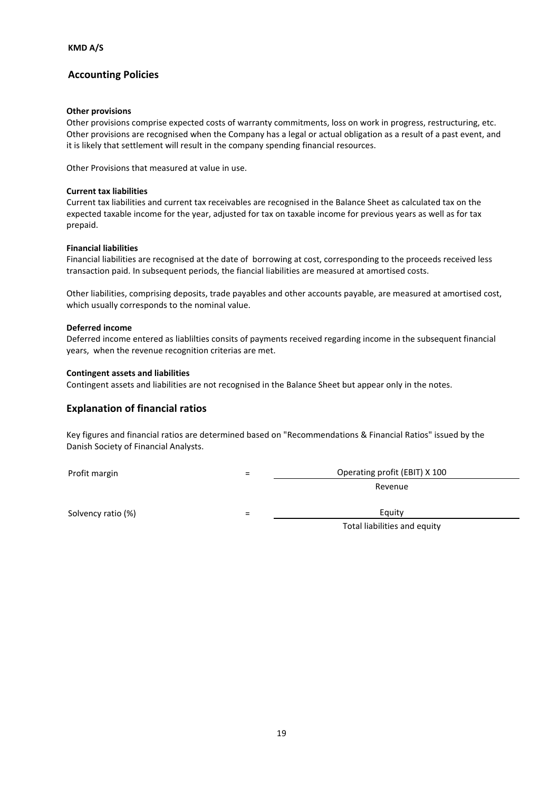#### **Other provisions**

Other provisions comprise expected costs of warranty commitments, loss on work in progress, restructuring, etc. Other provisions are recognised when the Company has a legal or actual obligation as a result of a past event, and it is likely that settlement will result in the company spending financial resources.

Other Provisions that measured at value in use.

#### **Current tax liabilities**

Current tax liabilities and current tax receivables are recognised in the Balance Sheet as calculated tax on the expected taxable income for the year, adjusted for tax on taxable income for previous years as well as for tax prepaid.

#### **Financial liabilities**

Financial liabilities are recognised at the date of borrowing at cost, corresponding to the proceeds received less transaction paid. In subsequent periods, the fiancial liabilities are measured at amortised costs.

Other liabilities, comprising deposits, trade payables and other accounts payable, are measured at amortised cost, which usually corresponds to the nominal value.

#### **Deferred income**

Deferred income entered as liablilties consits of payments received regarding income in the subsequent financial years, when the revenue recognition criterias are met.

#### **Contingent assets and liabilities**

Contingent assets and liabilities are not recognised in the Balance Sheet but appear only in the notes.

### **Explanation of financial ratios**

Key figures and financial ratios are determined based on "Recommendations & Financial Ratios" issued by the Danish Society of Financial Analysts.

Profit margin and the contract of the contract of the contract of the Operating profit (EBIT) X 100

Revenue

Solvency ratio  $(\%)$   $=$  Equity

Total liabilities and equity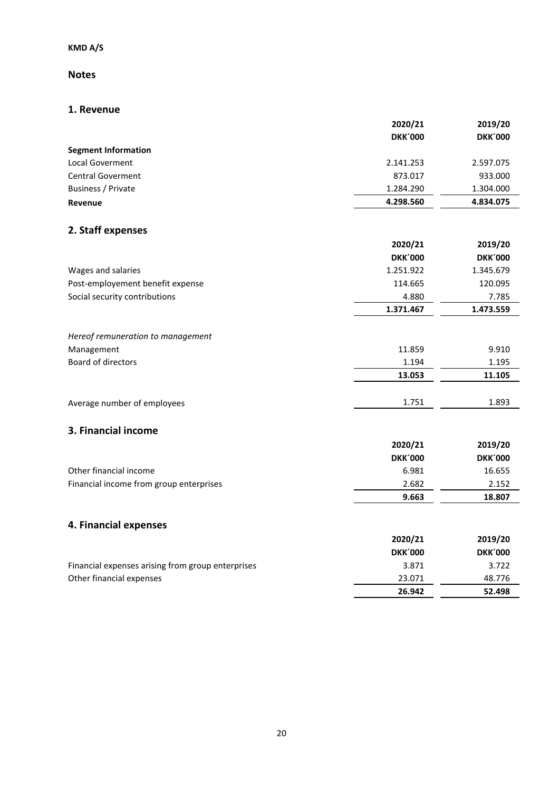### **Notes**

### **1. Revenue**

|                            | 2020/21<br><b>DKK'000</b> | 2019/20<br><b>DKK'000</b> |
|----------------------------|---------------------------|---------------------------|
| <b>Segment Information</b> |                           |                           |
| <b>Local Goverment</b>     | 2.141.253                 | 2.597.075                 |
| <b>Central Goverment</b>   | 873.017                   | 933.000                   |
| Business / Private         | 1.284.290                 | 1.304.000                 |
| Revenue                    | 4.298.560                 | 4.834.075                 |

## **2. Staff expenses**

|                                   | 2020/21        | 2019/20        |
|-----------------------------------|----------------|----------------|
|                                   | <b>DKK'000</b> | <b>DKK'000</b> |
| Wages and salaries                | 1.251.922      | 1.345.679      |
| Post-employement benefit expense  | 114.665        | 120.095        |
| Social security contributions     | 4.880          | 7.785          |
|                                   | 1.371.467      | 1.473.559      |
| Hereof remuneration to management |                |                |
| Management                        | 11.859         | 9.910          |
| Board of directors                | 1.194          | 1.195          |
|                                   | 13.053         | 11.105         |

| Average number of employees | 751 | 1.893 |
|-----------------------------|-----|-------|
|                             |     |       |

### **3. Financial income**

|                                         | 2020/21        | 2019/20        |
|-----------------------------------------|----------------|----------------|
|                                         | <b>DKK'000</b> | <b>DKK'000</b> |
| Other financial income                  | 6.981          | 16.655         |
| Financial income from group enterprises | 2.682          | 2.152          |
|                                         | 9.663          | 18.807         |

# **4. Financial expenses**

|                                                   | 2020/21        | 2019/20        |
|---------------------------------------------------|----------------|----------------|
|                                                   | <b>DKK'000</b> | <b>DKK'000</b> |
| Financial expenses arising from group enterprises | 3.871          | 3.722          |
| Other financial expenses                          | 23.071         | 48.776         |
|                                                   | 26.942         | 52.498         |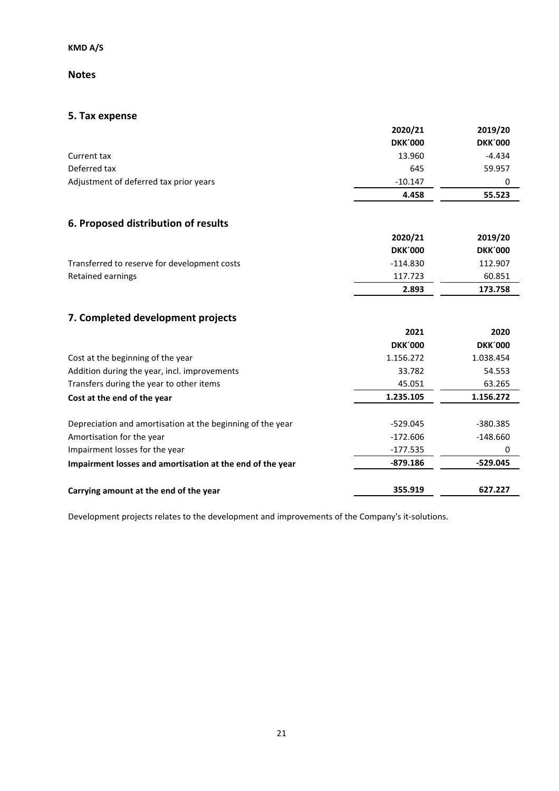### **Notes**

# **5. Tax expense**

|                                        | 2020/21<br><b>DKK'000</b> | 2019/20<br><b>DKK'000</b> |
|----------------------------------------|---------------------------|---------------------------|
| Current tax                            | 13.960                    | $-4.434$                  |
| Deferred tax                           | 645                       | 59.957                    |
| Adjustment of deferred tax prior years | $-10.147$                 |                           |
|                                        | 4.458                     | 55.523                    |

# **6. Proposed distribution of results**

|                                              | 2020/21        | 2019/20        |
|----------------------------------------------|----------------|----------------|
|                                              | <b>DKK'000</b> | <b>DKK'000</b> |
| Transferred to reserve for development costs | $-114.830$     | 112.907        |
| Retained earnings                            | 117.723        | 60.851         |
|                                              | 2.893          | 173.758        |

# **7. Completed development projects**

|                                                            | 2021           | 2020           |
|------------------------------------------------------------|----------------|----------------|
|                                                            | <b>DKK'000</b> | <b>DKK'000</b> |
| Cost at the beginning of the year                          | 1.156.272      | 1.038.454      |
| Addition during the year, incl. improvements               | 33.782         | 54.553         |
| Transfers during the year to other items                   | 45.051         | 63.265         |
| Cost at the end of the year                                | 1.235.105      | 1.156.272      |
|                                                            |                |                |
| Depreciation and amortisation at the beginning of the year | $-529.045$     | -380.385       |
| Amortisation for the year                                  | $-172.606$     | $-148.660$     |
| Impairment losses for the year                             | -177.535       | 0              |
| Impairment losses and amortisation at the end of the year  | $-879.186$     | $-529.045$     |
| Carrying amount at the end of the year                     | 355.919        | 627.227        |

Development projects relates to the development and improvements of the Company's it-solutions.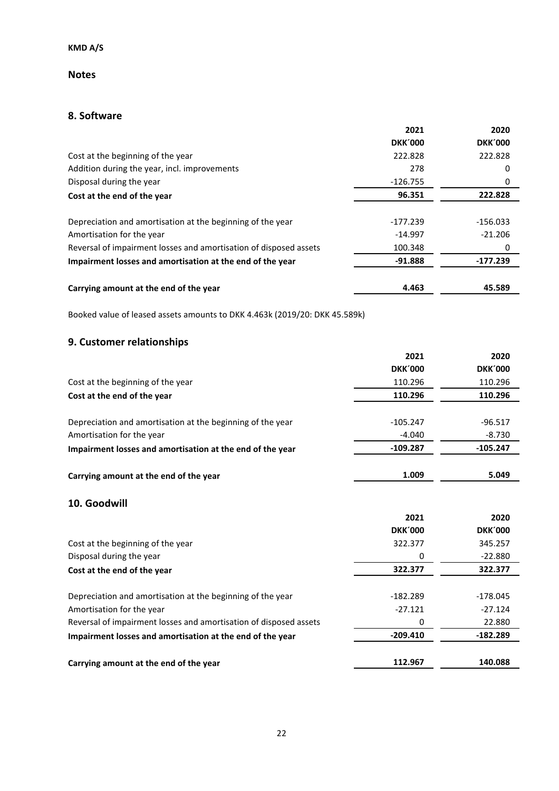### **Notes**

### **8. Software**

|                                                                            | 2021           | 2020           |
|----------------------------------------------------------------------------|----------------|----------------|
|                                                                            | <b>DKK'000</b> | <b>DKK'000</b> |
| Cost at the beginning of the year                                          | 222.828        | 222.828        |
| Addition during the year, incl. improvements                               | 278            | 0              |
| Disposal during the year                                                   | $-126.755$     | 0              |
| Cost at the end of the year                                                | 96.351         | 222.828        |
| Depreciation and amortisation at the beginning of the year                 | $-177.239$     | $-156.033$     |
| Amortisation for the year                                                  | $-14.997$      | $-21.206$      |
| Reversal of impairment losses and amortisation of disposed assets          | 100.348        | 0              |
| Impairment losses and amortisation at the end of the year                  | $-91.888$      | $-177.239$     |
| Carrying amount at the end of the year                                     | 4.463          | 45.589         |
| Booked value of leased assets amounts to DKK 4.463k (2019/20: DKK 45.589k) |                |                |
| 9. Customer relationships                                                  |                |                |
|                                                                            | 2021           | 2020           |
|                                                                            | <b>DKK'000</b> | <b>DKK'000</b> |
| Cost at the beginning of the year                                          | 110.296        | 110.296        |
| Cost at the end of the year                                                | 110.296        | 110.296        |
| Depreciation and amortisation at the beginning of the year                 | $-105.247$     | $-96.517$      |
| Amortisation for the year                                                  | $-4.040$       | $-8.730$       |
| Impairment losses and amortisation at the end of the year                  | $-109.287$     | $-105.247$     |
| Carrying amount at the end of the year                                     | 1.009          | 5.049          |
| 10. Goodwill                                                               |                |                |
|                                                                            | 2021           | 2020           |
|                                                                            | <b>DKK'000</b> | <b>DKK'000</b> |
| Cost at the beginning of the year                                          | 322.377        | 345.257        |
| Disposal during the year                                                   | 0              | $-22.880$      |
| Cost at the end of the year                                                | 322.377        | 322.377        |
| Depreciation and amortisation at the beginning of the year                 | $-182.289$     | $-178.045$     |
| Amortisation for the year                                                  | $-27.121$      | $-27.124$      |
| Reversal of impairment losses and amortisation of disposed assets          | 0              | 22.880         |
| Impairment losses and amortisation at the end of the year                  | $-209.410$     | $-182.289$     |
| Carrying amount at the end of the year                                     | 112.967        | 140.088        |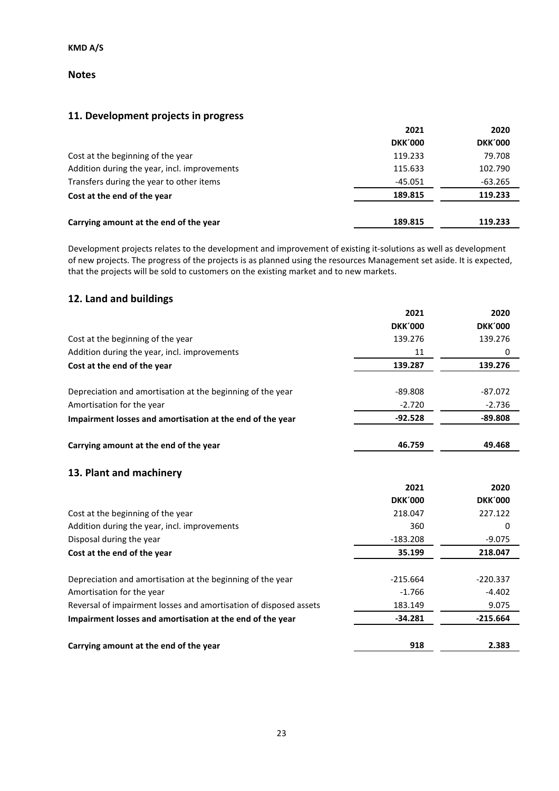### **Notes**

# **11. Development projects in progress**

|                                              | 2021           | 2020           |
|----------------------------------------------|----------------|----------------|
|                                              | <b>DKK'000</b> | <b>DKK'000</b> |
| Cost at the beginning of the year            | 119.233        | 79.708         |
| Addition during the year, incl. improvements | 115.633        | 102.790        |
| Transfers during the year to other items     | $-45.051$      | $-63.265$      |
| Cost at the end of the year                  | 189.815        | 119.233        |
| Carrying amount at the end of the year       | 189.815        | 119.233        |

Development projects relates to the development and improvement of existing it-solutions as well as development of new projects. The progress of the projects is as planned using the resources Management set aside. It is expected, that the projects will be sold to customers on the existing market and to new markets.

### **12. Land and buildings**

|                                                                   | 2021           | 2020           |
|-------------------------------------------------------------------|----------------|----------------|
|                                                                   | <b>DKK'000</b> | <b>DKK'000</b> |
| Cost at the beginning of the year                                 | 139.276        | 139.276        |
| Addition during the year, incl. improvements                      | 11             | 0              |
| Cost at the end of the year                                       | 139.287        | 139.276        |
| Depreciation and amortisation at the beginning of the year        | $-89.808$      | $-87.072$      |
| Amortisation for the year                                         | $-2.720$       | $-2.736$       |
| Impairment losses and amortisation at the end of the year         | $-92.528$      | $-89.808$      |
| Carrying amount at the end of the year                            | 46.759         | 49.468         |
| 13. Plant and machinery                                           |                |                |
|                                                                   | 2021           | 2020           |
|                                                                   | <b>DKK'000</b> | <b>DKK'000</b> |
| Cost at the beginning of the year                                 | 218.047        | 227.122        |
| Addition during the year, incl. improvements                      | 360            | 0              |
| Disposal during the year                                          | $-183.208$     | $-9.075$       |
| Cost at the end of the year                                       | 35.199         | 218.047        |
| Depreciation and amortisation at the beginning of the year        | $-215.664$     | $-220.337$     |
| Amortisation for the year                                         | $-1.766$       | $-4.402$       |
| Reversal of impairment losses and amortisation of disposed assets | 183.149        | 9.075          |
| Impairment losses and amortisation at the end of the year         | $-34.281$      | $-215.664$     |
| Carrying amount at the end of the year                            | 918            | 2.383          |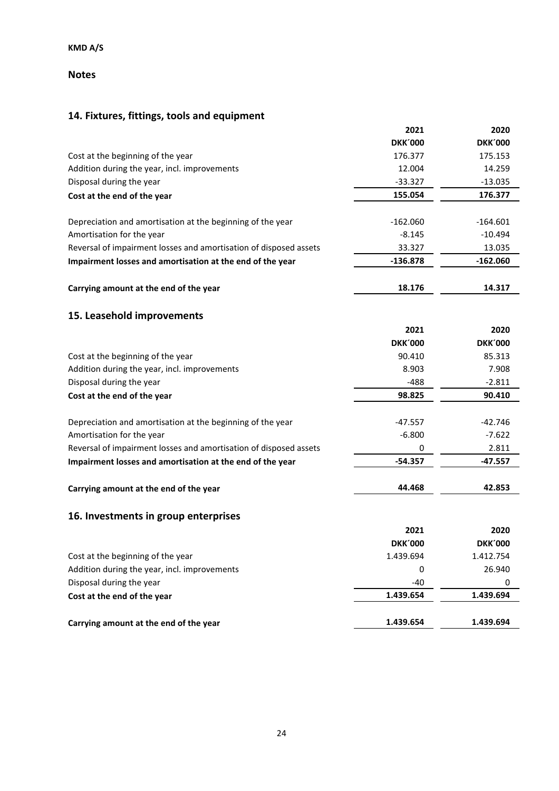### **Notes**

# **14. Fixtures, fittings, tools and equipment**

|                                                                   | 2021           | 2020           |
|-------------------------------------------------------------------|----------------|----------------|
|                                                                   | <b>DKK'000</b> | <b>DKK'000</b> |
| Cost at the beginning of the year                                 | 176.377        | 175.153        |
| Addition during the year, incl. improvements                      | 12.004         | 14.259         |
| Disposal during the year                                          | $-33.327$      | $-13.035$      |
| Cost at the end of the year                                       | 155.054        | 176.377        |
| Depreciation and amortisation at the beginning of the year        | $-162.060$     | $-164.601$     |
| Amortisation for the year                                         | $-8.145$       | $-10.494$      |
| Reversal of impairment losses and amortisation of disposed assets | 33.327         | 13.035         |
| Impairment losses and amortisation at the end of the year         | $-136.878$     | $-162.060$     |
| Carrying amount at the end of the year                            | 18.176         | 14.317         |
| 15. Leasehold improvements                                        |                |                |
|                                                                   | 2021           | 2020           |
|                                                                   | <b>DKK'000</b> | <b>DKK'000</b> |
| Cost at the beginning of the year                                 | 90.410         | 85.313         |
| Addition during the year, incl. improvements                      | 8.903          | 7.908          |
| Disposal during the year                                          | $-488$         | $-2.811$       |
| Cost at the end of the year                                       | 98.825         | 90.410         |
| Depreciation and amortisation at the beginning of the year        | $-47.557$      | $-42.746$      |
| Amortisation for the year                                         | $-6.800$       | $-7.622$       |
| Reversal of impairment losses and amortisation of disposed assets | 0              | 2.811          |
| Impairment losses and amortisation at the end of the year         | $-54.357$      | $-47.557$      |
| Carrying amount at the end of the year                            | 44.468         | 42.853         |
| 16. Investments in group enterprises                              |                |                |
|                                                                   | 2021           | 2020           |
|                                                                   | <b>DKK'000</b> | <b>DKK'000</b> |
| Cost at the beginning of the year                                 | 1.439.694      | 1.412.754      |
| Addition during the year, incl. improvements                      | 0              | 26.940         |
| Disposal during the year                                          | $-40$          | 0              |
| Cost at the end of the year                                       | 1.439.654      | 1.439.694      |
| Carrying amount at the end of the year                            | 1.439.654      | 1.439.694      |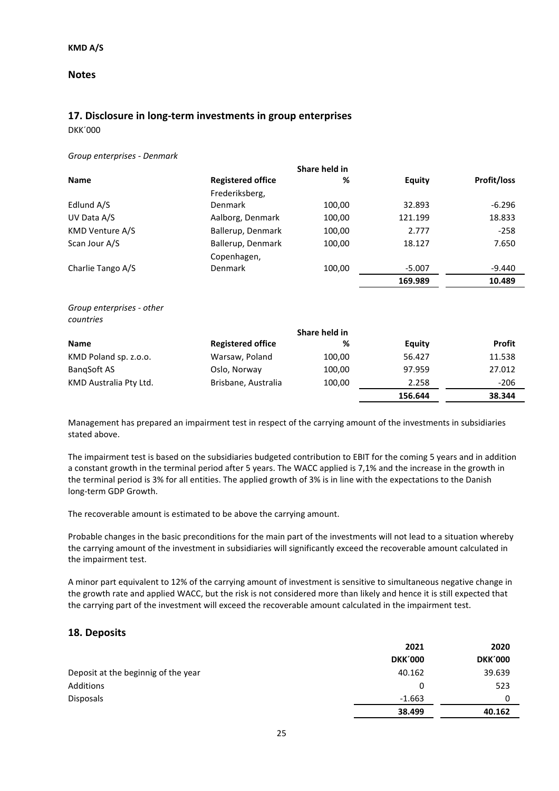### **Notes**

### **17. Disclosure in long-term investments in group enterprises**

DKK´000

#### *Group enterprises - Denmark*

|                   | Share held in            |        |               |                    |
|-------------------|--------------------------|--------|---------------|--------------------|
| <b>Name</b>       | <b>Registered office</b> | %      | <b>Equity</b> | <b>Profit/loss</b> |
|                   | Frederiksberg,           |        |               |                    |
| Edlund A/S        | Denmark                  | 100,00 | 32.893        | $-6.296$           |
| UV Data A/S       | Aalborg, Denmark         | 100,00 | 121.199       | 18.833             |
| KMD Venture A/S   | Ballerup, Denmark        | 100,00 | 2.777         | $-258$             |
| Scan Jour A/S     | Ballerup, Denmark        | 100,00 | 18.127        | 7.650              |
|                   | Copenhagen,              |        |               |                    |
| Charlie Tango A/S | Denmark                  | 100,00 | $-5.007$      | -9.440             |
|                   |                          |        | 169.989       | 10.489             |
|                   |                          |        |               |                    |

*Group enterprises - other countries*

|                        | Share held in            |        |         |               |
|------------------------|--------------------------|--------|---------|---------------|
| <b>Name</b>            | <b>Registered office</b> | %      | Equity  | <b>Profit</b> |
| KMD Poland sp. z.o.o.  | Warsaw, Poland           | 100,00 | 56.427  | 11.538        |
| BangSoft AS            | Oslo, Norway             | 100,00 | 97.959  | 27.012        |
| KMD Australia Pty Ltd. | Brisbane, Australia      | 100,00 | 2.258   | $-206$        |
|                        |                          |        | 156.644 | 38.344        |

Management has prepared an impairment test in respect of the carrying amount of the investments in subsidiaries stated above.

The impairment test is based on the subsidiaries budgeted contribution to EBIT for the coming 5 years and in addition a constant growth in the terminal period after 5 years. The WACC applied is 7,1% and the increase in the growth in the terminal period is 3% for all entities. The applied growth of 3% is in line with the expectations to the Danish long-term GDP Growth.

The recoverable amount is estimated to be above the carrying amount.

Probable changes in the basic preconditions for the main part of the investments will not lead to a situation whereby the carrying amount of the investment in subsidiaries will significantly exceed the recoverable amount calculated in the impairment test.

A minor part equivalent to 12% of the carrying amount of investment is sensitive to simultaneous negative change in the growth rate and applied WACC, but the risk is not considered more than likely and hence it is still expected that the carrying part of the investment will exceed the recoverable amount calculated in the impairment test.

### **18. Deposits**

|                                     | 2021           | 2020           |
|-------------------------------------|----------------|----------------|
|                                     | <b>DKK'000</b> | <b>DKK'000</b> |
| Deposit at the beginnig of the year | 40.162         | 39.639         |
| Additions                           | 0              | 523            |
| <b>Disposals</b>                    | $-1.663$       |                |
|                                     | 38.499         | 40.162         |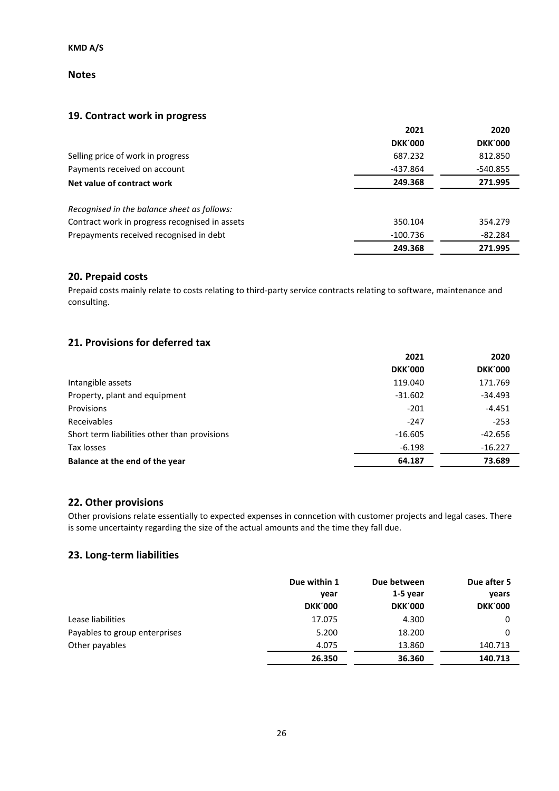**Notes**

### **19. Contract work in progress**

|                                                | 2021           | 2020           |
|------------------------------------------------|----------------|----------------|
|                                                | <b>DKK'000</b> | <b>DKK'000</b> |
| Selling price of work in progress              | 687.232        | 812.850        |
| Payments received on account                   | -437.864       | -540.855       |
| Net value of contract work                     | 249.368        | 271.995        |
| Recognised in the balance sheet as follows:    |                |                |
| Contract work in progress recognised in assets | 350.104        | 354.279        |
| Prepayments received recognised in debt        | $-100.736$     | $-82.284$      |
|                                                | 249.368        | 271.995        |

### **20. Prepaid costs**

Prepaid costs mainly relate to costs relating to third-party service contracts relating to software, maintenance and consulting.

### **21. Provisions for deferred tax**

|                                              | 2021           | 2020           |
|----------------------------------------------|----------------|----------------|
|                                              | <b>DKK'000</b> | <b>DKK'000</b> |
| Intangible assets                            | 119.040        | 171.769        |
| Property, plant and equipment                | $-31.602$      | $-34.493$      |
| Provisions                                   | $-201$         | $-4.451$       |
| Receivables                                  | $-247$         | $-253$         |
| Short term liabilities other than provisions | $-16.605$      | $-42.656$      |
| Tax losses                                   | $-6.198$       | $-16.227$      |
| Balance at the end of the year               | 64.187         | 73.689         |

### **22. Other provisions**

Other provisions relate essentially to expected expenses in conncetion with customer projects and legal cases. There is some uncertainty regarding the size of the actual amounts and the time they fall due.

### **23. Long-term liabilities**

|                               | Due within 1<br>year | Due between<br>$1-5$ year | Due after 5<br>years |
|-------------------------------|----------------------|---------------------------|----------------------|
|                               | <b>DKK'000</b>       | <b>DKK'000</b>            | <b>DKK'000</b>       |
| Lease liabilities             | 17.075               | 4.300                     | 0                    |
| Payables to group enterprises | 5.200                | 18.200                    | 0                    |
| Other payables                | 4.075                | 13.860                    | 140.713              |
|                               | 26.350               | 36.360                    | 140.713              |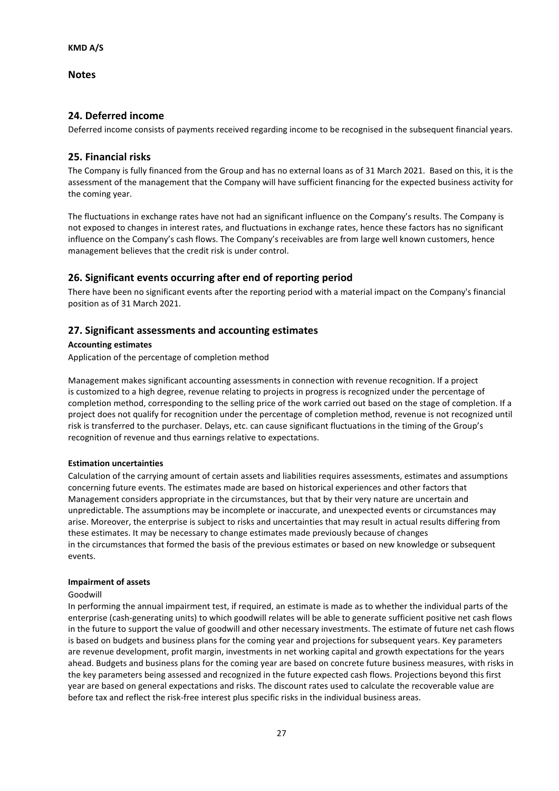**Notes**

### **24. Deferred income**

Deferred income consists of payments received regarding income to be recognised in the subsequent financial years.

### **25. Financial risks**

The Company is fully financed from the Group and has no external loans as of 31 March 2021. Based on this, it is the assessment of the management that the Company will have sufficient financing for the expected business activity for the coming year.

The fluctuations in exchange rates have not had an significant influence on the Company's results. The Company is not exposed to changes in interest rates, and fluctuations in exchange rates, hence these factors has no significant influence on the Company's cash flows. The Company's receivables are from large well known customers, hence management believes that the credit risk is under control.

### **26. Significant events occurring after end of reporting period**

There have been no significant events after the reporting period with a material impact on the Company's financial position as of 31 March 2021.

### **27. Significant assessments and accounting estimates**

#### **Accounting estimates**

Application of the percentage of completion method

Management makes significant accounting assessments in connection with revenue recognition. If a project is customized to a high degree, revenue relating to projects in progress is recognized under the percentage of completion method, corresponding to the selling price of the work carried out based on the stage of completion. If a project does not qualify for recognition under the percentage of completion method, revenue is not recognized until risk is transferred to the purchaser. Delays, etc. can cause significant fluctuations in the timing of the Group's recognition of revenue and thus earnings relative to expectations.

#### **Estimation uncertainties**

Calculation of the carrying amount of certain assets and liabilities requires assessments, estimates and assumptions concerning future events. The estimates made are based on historical experiences and other factors that Management considers appropriate in the circumstances, but that by their very nature are uncertain and unpredictable. The assumptions may be incomplete or inaccurate, and unexpected events or circumstances may arise. Moreover, the enterprise is subject to risks and uncertainties that may result in actual results differing from these estimates. It may be necessary to change estimates made previously because of changes in the circumstances that formed the basis of the previous estimates or based on new knowledge or subsequent events.

#### **Impairment of assets**

#### Goodwill

In performing the annual impairment test, if required, an estimate is made as to whether the individual parts of the enterprise (cash-generating units) to which goodwill relates will be able to generate sufficient positive net cash flows in the future to support the value of goodwill and other necessary investments. The estimate of future net cash flows is based on budgets and business plans for the coming year and projections for subsequent years. Key parameters are revenue development, profit margin, investments in net working capital and growth expectations for the years ahead. Budgets and business plans for the coming year are based on concrete future business measures, with risks in the key parameters being assessed and recognized in the future expected cash flows. Projections beyond this first year are based on general expectations and risks. The discount rates used to calculate the recoverable value are before tax and reflect the risk-free interest plus specific risks in the individual business areas.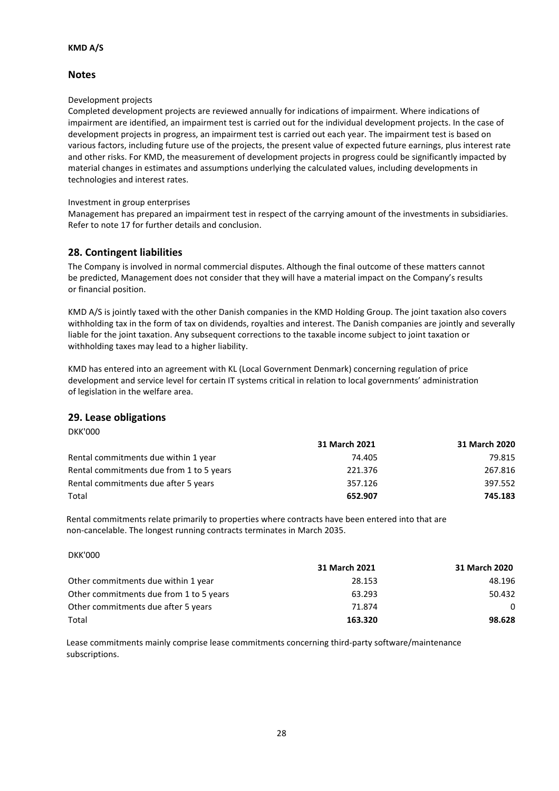### **Notes**

#### Development projects

Completed development projects are reviewed annually for indications of impairment. Where indications of impairment are identified, an impairment test is carried out for the individual development projects. In the case of development projects in progress, an impairment test is carried out each year. The impairment test is based on various factors, including future use of the projects, the present value of expected future earnings, plus interest rate and other risks. For KMD, the measurement of development projects in progress could be significantly impacted by material changes in estimates and assumptions underlying the calculated values, including developments in technologies and interest rates.

#### Investment in group enterprises

Management has prepared an impairment test in respect of the carrying amount of the investments in subsidiaries. Refer to note 17 for further details and conclusion.

### **28. Contingent liabilities**

The Company is involved in normal commercial disputes. Although the final outcome of these matters cannot be predicted, Management does not consider that they will have a material impact on the Company's results or financial position.

KMD A/S is jointly taxed with the other Danish companies in the KMD Holding Group. The joint taxation also covers withholding tax in the form of tax on dividends, royalties and interest. The Danish companies are jointly and severally liable for the joint taxation. Any subsequent corrections to the taxable income subject to joint taxation or withholding taxes may lead to a higher liability.

KMD has entered into an agreement with KL (Local Government Denmark) concerning regulation of price development and service level for certain IT systems critical in relation to local governments' administration of legislation in the welfare area.

### **29. Lease obligations**

|                                          | 31 March 2021 | 31 March 2020 |
|------------------------------------------|---------------|---------------|
| Rental commitments due within 1 year     | 74.405        | 79.815        |
| Rental commitments due from 1 to 5 years | 221.376       | 267.816       |
| Rental commitments due after 5 years     | 357.126       | 397.552       |
| Total                                    | 652.907       | 745.183       |

Rental commitments relate primarily to properties where contracts have been entered into that are non-cancelable. The longest running contracts terminates in March 2035.

| <b>DKK'000</b> |
|----------------|
|----------------|

DKK'000

|                                         | 31 March 2021 | 31 March 2020 |
|-----------------------------------------|---------------|---------------|
| Other commitments due within 1 year     | 28.153        | 48.196        |
| Other commitments due from 1 to 5 years | 63.293        | 50.432        |
| Other commitments due after 5 years     | 71.874        | $\Omega$      |
| Total                                   | 163.320       | 98.628        |

Lease commitments mainly comprise lease commitments concerning third-party software/maintenance subscriptions.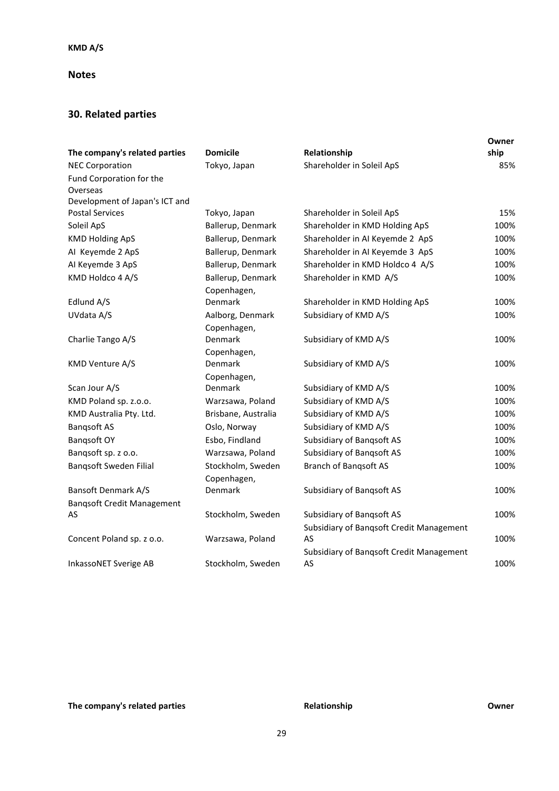### **Notes**

# **30. Related parties**

| The company's related parties     | <b>Domicile</b>     | Relationship                             | Owner<br>ship |
|-----------------------------------|---------------------|------------------------------------------|---------------|
| <b>NEC Corporation</b>            | Tokyo, Japan        | Shareholder in Soleil ApS                | 85%           |
| Fund Corporation for the          |                     |                                          |               |
| Overseas                          |                     |                                          |               |
| Development of Japan's ICT and    |                     |                                          |               |
| <b>Postal Services</b>            | Tokyo, Japan        | Shareholder in Soleil ApS                | 15%           |
| Soleil ApS                        | Ballerup, Denmark   | Shareholder in KMD Holding ApS           | 100%          |
| <b>KMD Holding ApS</b>            | Ballerup, Denmark   | Shareholder in AI Keyemde 2 ApS          | 100%          |
| AI Keyemde 2 ApS                  | Ballerup, Denmark   | Shareholder in AI Keyemde 3 ApS          | 100%          |
| Al Keyemde 3 ApS                  | Ballerup, Denmark   | Shareholder in KMD Holdco 4 A/S          | 100%          |
| KMD Holdco 4 A/S                  | Ballerup, Denmark   | Shareholder in KMD A/S                   | 100%          |
|                                   | Copenhagen,         |                                          |               |
| Edlund A/S                        | Denmark             | Shareholder in KMD Holding ApS           | 100%          |
| UVdata A/S                        | Aalborg, Denmark    | Subsidiary of KMD A/S                    | 100%          |
|                                   | Copenhagen,         |                                          |               |
| Charlie Tango A/S                 | Denmark             | Subsidiary of KMD A/S                    | 100%          |
|                                   | Copenhagen,         |                                          |               |
| KMD Venture A/S                   | Denmark             | Subsidiary of KMD A/S                    | 100%          |
|                                   | Copenhagen,         |                                          |               |
| Scan Jour A/S                     | <b>Denmark</b>      | Subsidiary of KMD A/S                    | 100%          |
| KMD Poland sp. z.o.o.             | Warzsawa, Poland    | Subsidiary of KMD A/S                    | 100%          |
| KMD Australia Pty. Ltd.           | Brisbane, Australia | Subsidiary of KMD A/S                    | 100%          |
| <b>Bangsoft AS</b>                | Oslo, Norway        | Subsidiary of KMD A/S                    | 100%          |
| Bangsoft OY                       | Esbo, Findland      | Subsidiary of Bangsoft AS                | 100%          |
| Bangsoft sp. z o.o.               | Warzsawa, Poland    | Subsidiary of Bangsoft AS                | 100%          |
| Bangsoft Sweden Filial            | Stockholm, Sweden   | <b>Branch of Bangsoft AS</b>             | 100%          |
|                                   | Copenhagen,         |                                          |               |
| <b>Bansoft Denmark A/S</b>        | Denmark             | Subsidiary of Bangsoft AS                | 100%          |
| <b>Bangsoft Credit Management</b> |                     |                                          |               |
| AS                                | Stockholm, Sweden   | <b>Subsidiary of Bangsoft AS</b>         | 100%          |
|                                   |                     | Subsidiary of Banqsoft Credit Management |               |
| Concent Poland sp. z o.o.         | Warzsawa, Poland    | AS                                       | 100%          |
|                                   |                     | Subsidiary of Banqsoft Credit Management |               |
| InkassoNET Sverige AB             | Stockholm, Sweden   | AS                                       | 100%          |

# **The company's related parties COMPA Relationship COMPA COMPA COMPA COMPA COMPA COMPA COMPA COMPA COMPA COMPA COMPA COMPA COMPA COMPA COMPA COMPA COMPA COMPA COMPA COMPA COMPA**